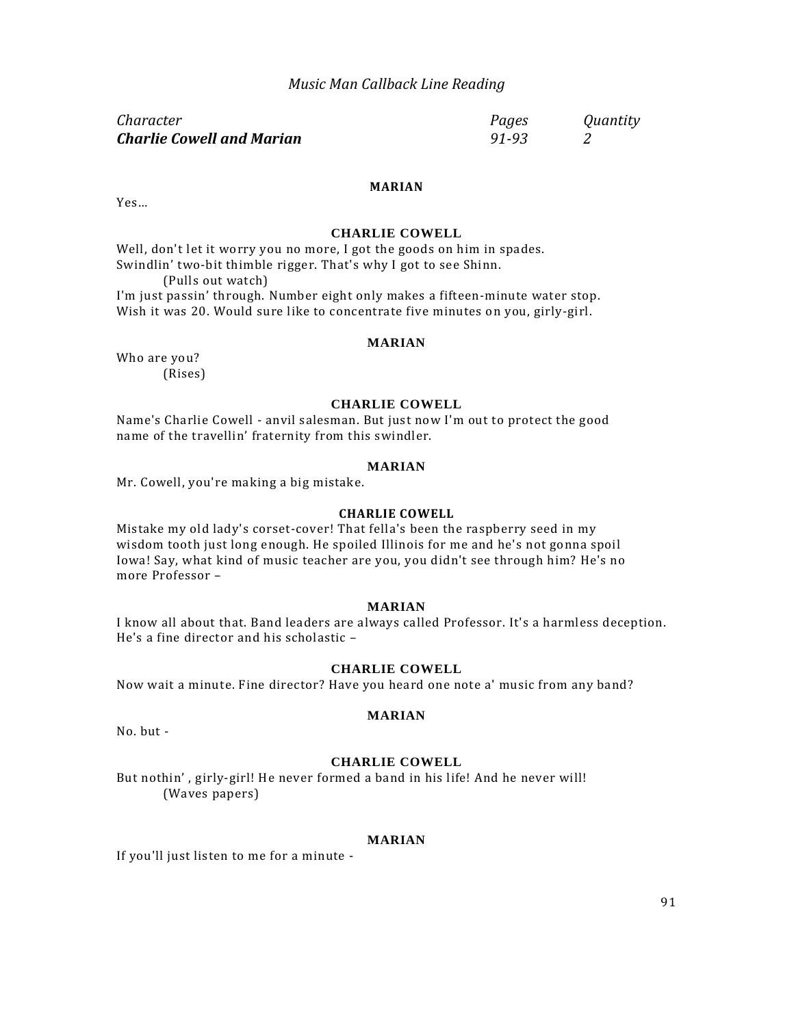## *Music Man Callback Line Reading*

| Character                        | Pages | Quantity |
|----------------------------------|-------|----------|
| <b>Charlie Cowell and Marian</b> | 91-93 |          |

Yes…

# **CHARLIE COWELL**

**MARIAN**

Well, don't let it worry you no more, I got the goods on him in spades. Swindlin' two-bit thimble rigger. That's why I got to see Shinn. (Pulls out watch)

I'm just passin' through. Number eight only makes a fifteen-minute water stop. Wish it was 20. Would sure like to concentrate five minutes on you, girly-girl.

### **MARIAN**

Who are you? (Rises)

#### **CHARLIE COWELL**

Name's Charlie Cowell - anvil salesman. But just now I'm out to protect the good name of the travellin' fraternity from this swindler.

#### **MARIAN**

Mr. Cowell, you're making a big mistake.

#### **CHARLIE COWELL**

Mistake my old lady's corset-cover! That fella's been the raspberry seed in my wisdom tooth just long enough. He spoiled Illinois for me and he's not gonna spoil Iowa! Say, what kind of music teacher are you, you didn't see through him? He's no more Professor –

## **MARIAN**

I know all about that. Band leaders are always called Professor. It's a harmless deception. He's a fine director and his scholastic –

### **CHARLIE COWELL**

Now wait a minute. Fine director? Have you heard one note a' music from any band?

No. but -

#### **CHARLIE COWELL**

**MARIAN**

But nothin' , girly-girl! He never formed a band in his life! And he never will! (Waves papers)

## **MARIAN**

If you'll just listen to me for a minute -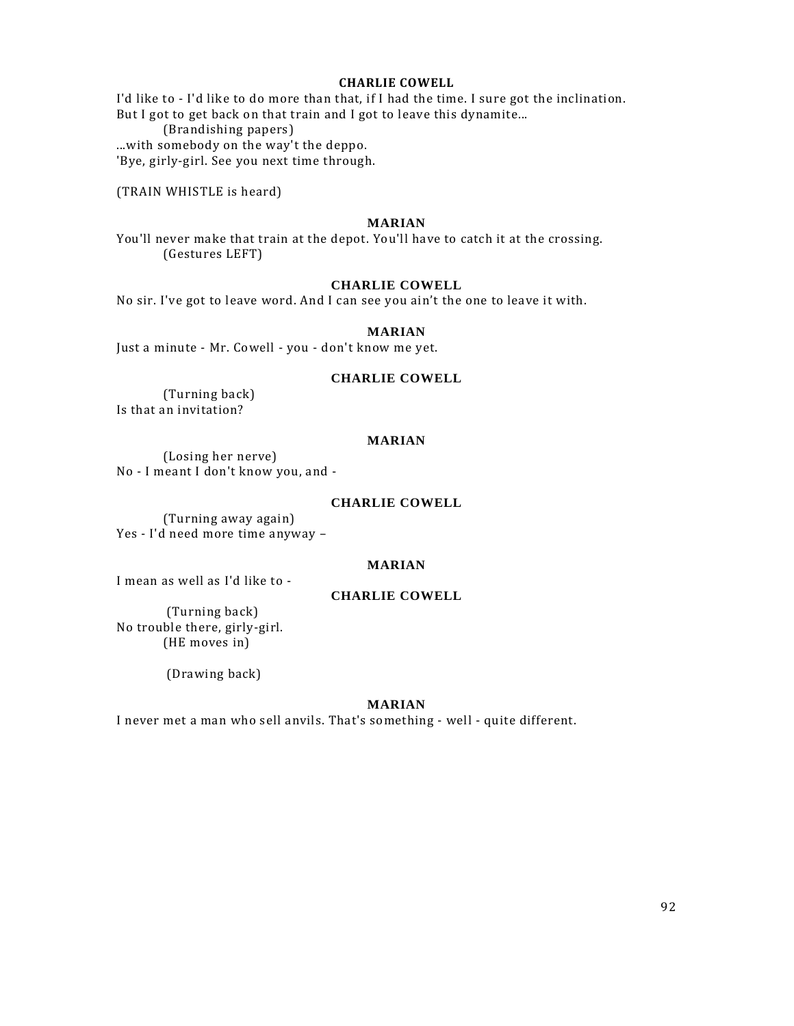## **CHARLIE COWELL**

I'd like to - I'd like to do more than that, if I had the time. I sure got the inclination. But I got to get back on that train and I got to leave this dynamite...

(Brandishing papers)

...with somebody on the way't the deppo.

'Bye, girly-girl. See you next time through.

(TRAIN WHISTLE is heard)

#### **MARIAN**

You'll never make that train at the depot. You'll have to catch it at the crossing. (Gestures LEFT)

## **CHARLIE COWELL**

No sir. I've got to leave word. And I can see you ain't the one to leave it with.

#### **MARIAN**

Just a minute - Mr. Cowell - you - don't know me yet.

## **CHARLIE COWELL**

(Turning back) Is that an invitation?

### **MARIAN**

(Losing her nerve) No - I meant I don't know you, and -

#### **CHARLIE COWELL**

(Turning away again) Yes - I'd need more time anyway –

## **MARIAN**

I mean as well as I'd like to -

## **CHARLIE COWELL**

(Turning back) No trouble there, girly-girl. (HE moves in)

(Drawing back)

## **MARIAN**

I never met a man who sell anvils. That's something - well - quite different.